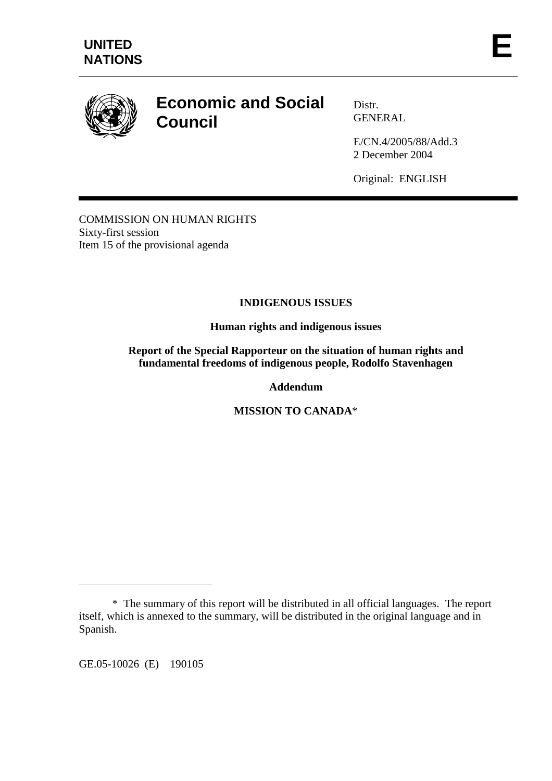

# **Economic and Social Council**

Distr. GENERAL

E/CN.4/2005/88/Add.3 2 December 2004

Original: ENGLISH

COMMISSION ON HUMAN RIGHTS Sixty-first session Item 15 of the provisional agenda

# **INDIGENOUS ISSUES**

**Human rights and indigenous issues** 

**Report of the Special Rapporteur on the situation of human rights and fundamental freedoms of indigenous people, Rodolfo Stavenhagen** 

**Addendum** 

**MISSION TO CANADA**\*

GE.05-10026 (E) 190105

 $\overline{a}$ 

 <sup>\*</sup> The summary of this report will be distributed in all official languages. The report itself, which is annexed to the summary, will be distributed in the original language and in Spanish.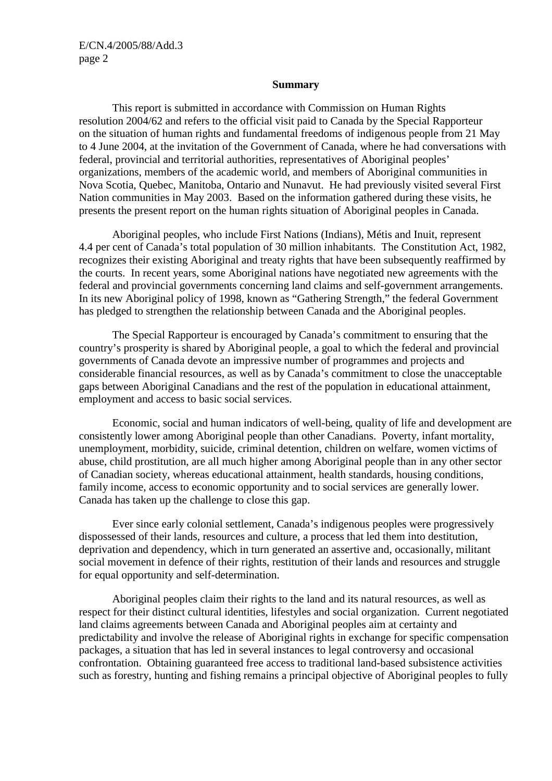#### **Summary**

 This report is submitted in accordance with Commission on Human Rights resolution 2004/62 and refers to the official visit paid to Canada by the Special Rapporteur on the situation of human rights and fundamental freedoms of indigenous people from 21 May to 4 June 2004, at the invitation of the Government of Canada, where he had conversations with federal, provincial and territorial authorities, representatives of Aboriginal peoples' organizations, members of the academic world, and members of Aboriginal communities in Nova Scotia, Quebec, Manitoba, Ontario and Nunavut. He had previously visited several First Nation communities in May 2003. Based on the information gathered during these visits, he presents the present report on the human rights situation of Aboriginal peoples in Canada.

 Aboriginal peoples, who include First Nations (Indians), Métis and Inuit, represent 4.4 per cent of Canada's total population of 30 million inhabitants. The Constitution Act, 1982, recognizes their existing Aboriginal and treaty rights that have been subsequently reaffirmed by the courts. In recent years, some Aboriginal nations have negotiated new agreements with the federal and provincial governments concerning land claims and self-government arrangements. In its new Aboriginal policy of 1998, known as "Gathering Strength," the federal Government has pledged to strengthen the relationship between Canada and the Aboriginal peoples.

 The Special Rapporteur is encouraged by Canada's commitment to ensuring that the country's prosperity is shared by Aboriginal people, a goal to which the federal and provincial governments of Canada devote an impressive number of programmes and projects and considerable financial resources, as well as by Canada's commitment to close the unacceptable gaps between Aboriginal Canadians and the rest of the population in educational attainment, employment and access to basic social services.

 Economic, social and human indicators of well-being, quality of life and development are consistently lower among Aboriginal people than other Canadians. Poverty, infant mortality, unemployment, morbidity, suicide, criminal detention, children on welfare, women victims of abuse, child prostitution, are all much higher among Aboriginal people than in any other sector of Canadian society, whereas educational attainment, health standards, housing conditions, family income, access to economic opportunity and to social services are generally lower. Canada has taken up the challenge to close this gap.

 Ever since early colonial settlement, Canada's indigenous peoples were progressively dispossessed of their lands, resources and culture, a process that led them into destitution, deprivation and dependency, which in turn generated an assertive and, occasionally, militant social movement in defence of their rights, restitution of their lands and resources and struggle for equal opportunity and self-determination.

 Aboriginal peoples claim their rights to the land and its natural resources, as well as respect for their distinct cultural identities, lifestyles and social organization. Current negotiated land claims agreements between Canada and Aboriginal peoples aim at certainty and predictability and involve the release of Aboriginal rights in exchange for specific compensation packages, a situation that has led in several instances to legal controversy and occasional confrontation. Obtaining guaranteed free access to traditional land-based subsistence activities such as forestry, hunting and fishing remains a principal objective of Aboriginal peoples to fully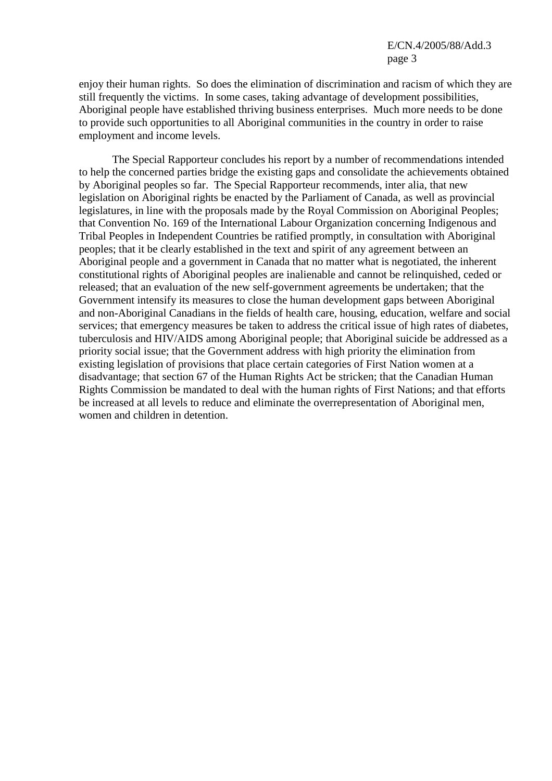enjoy their human rights. So does the elimination of discrimination and racism of which they are still frequently the victims. In some cases, taking advantage of development possibilities, Aboriginal people have established thriving business enterprises. Much more needs to be done to provide such opportunities to all Aboriginal communities in the country in order to raise employment and income levels.

 The Special Rapporteur concludes his report by a number of recommendations intended to help the concerned parties bridge the existing gaps and consolidate the achievements obtained by Aboriginal peoples so far. The Special Rapporteur recommends, inter alia, that new legislation on Aboriginal rights be enacted by the Parliament of Canada, as well as provincial legislatures, in line with the proposals made by the Royal Commission on Aboriginal Peoples; that Convention No. 169 of the International Labour Organization concerning Indigenous and Tribal Peoples in Independent Countries be ratified promptly, in consultation with Aboriginal peoples; that it be clearly established in the text and spirit of any agreement between an Aboriginal people and a government in Canada that no matter what is negotiated, the inherent constitutional rights of Aboriginal peoples are inalienable and cannot be relinquished, ceded or released; that an evaluation of the new self-government agreements be undertaken; that the Government intensify its measures to close the human development gaps between Aboriginal and non-Aboriginal Canadians in the fields of health care, housing, education, welfare and social services; that emergency measures be taken to address the critical issue of high rates of diabetes, tuberculosis and HIV/AIDS among Aboriginal people; that Aboriginal suicide be addressed as a priority social issue; that the Government address with high priority the elimination from existing legislation of provisions that place certain categories of First Nation women at a disadvantage; that section 67 of the Human Rights Act be stricken; that the Canadian Human Rights Commission be mandated to deal with the human rights of First Nations; and that efforts be increased at all levels to reduce and eliminate the overrepresentation of Aboriginal men, women and children in detention.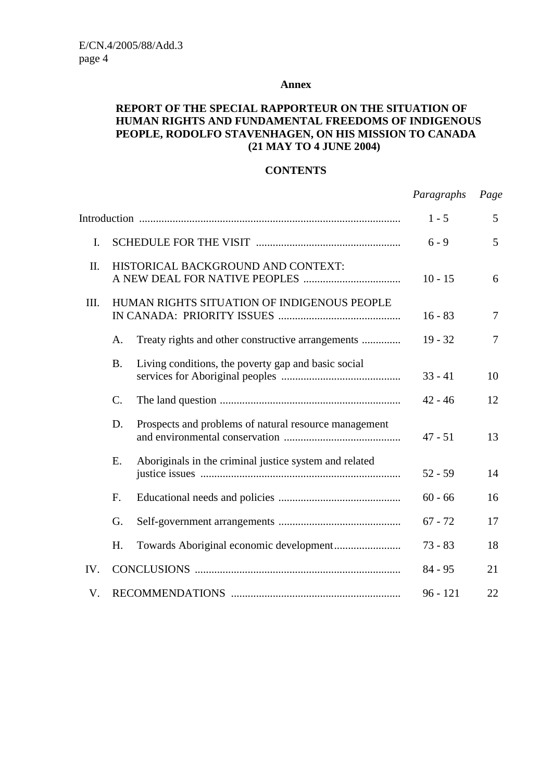#### **Annex**

#### **REPORT OF THE SPECIAL RAPPORTEUR ON THE SITUATION OF HUMAN RIGHTS AND FUNDAMENTAL FREEDOMS OF INDIGENOUS PEOPLE, RODOLFO STAVENHAGEN, ON HIS MISSION TO CANADA (21 MAY TO 4 JUNE 2004)**

#### **CONTENTS**

|                |                                             |                                                        | Paragraphs | Page |
|----------------|---------------------------------------------|--------------------------------------------------------|------------|------|
|                |                                             |                                                        | $1 - 5$    | 5    |
| $\mathbf{I}$ . |                                             |                                                        | $6 - 9$    | 5    |
| II.            | HISTORICAL BACKGROUND AND CONTEXT:          |                                                        | $10 - 15$  | 6    |
| III.           | HUMAN RIGHTS SITUATION OF INDIGENOUS PEOPLE |                                                        | $16 - 83$  | 7    |
|                | A.                                          | Treaty rights and other constructive arrangements      | $19 - 32$  | 7    |
|                | <b>B.</b>                                   | Living conditions, the poverty gap and basic social    | $33 - 41$  | 10   |
|                | C.                                          |                                                        | $42 - 46$  | 12   |
|                | D.                                          | Prospects and problems of natural resource management  | $47 - 51$  | 13   |
|                | E.                                          | Aboriginals in the criminal justice system and related | $52 - 59$  | 14   |
|                | F.                                          |                                                        | $60 - 66$  | 16   |
|                | G.                                          |                                                        | $67 - 72$  | 17   |
|                | H.                                          |                                                        | $73 - 83$  | 18   |
| IV.            |                                             |                                                        | $84 - 95$  | 21   |
| V.             |                                             |                                                        | $96 - 121$ | 22   |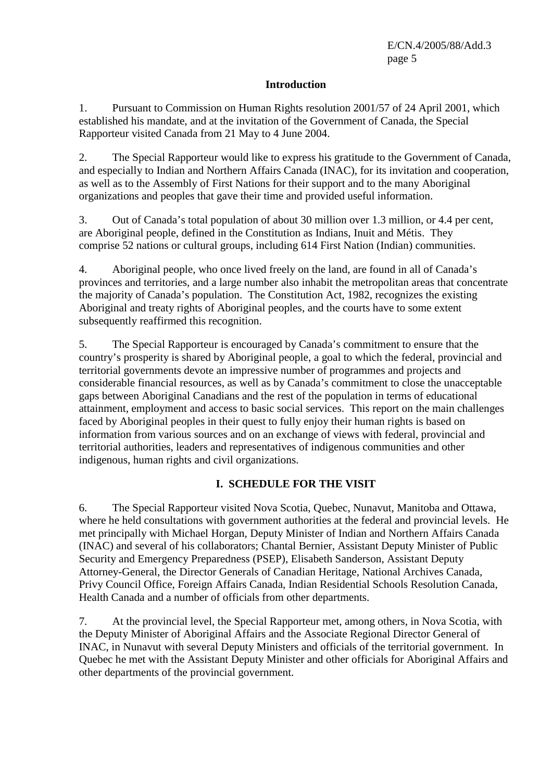#### **Introduction**

1. Pursuant to Commission on Human Rights resolution 2001/57 of 24 April 2001, which established his mandate, and at the invitation of the Government of Canada, the Special Rapporteur visited Canada from 21 May to 4 June 2004.

2. The Special Rapporteur would like to express his gratitude to the Government of Canada, and especially to Indian and Northern Affairs Canada (INAC), for its invitation and cooperation, as well as to the Assembly of First Nations for their support and to the many Aboriginal organizations and peoples that gave their time and provided useful information.

3. Out of Canada's total population of about 30 million over 1.3 million, or 4.4 per cent, are Aboriginal people, defined in the Constitution as Indians, Inuit and Métis. They comprise 52 nations or cultural groups, including 614 First Nation (Indian) communities.

4. Aboriginal people, who once lived freely on the land, are found in all of Canada's provinces and territories, and a large number also inhabit the metropolitan areas that concentrate the majority of Canada's population. The Constitution Act, 1982, recognizes the existing Aboriginal and treaty rights of Aboriginal peoples, and the courts have to some extent subsequently reaffirmed this recognition.

5. The Special Rapporteur is encouraged by Canada's commitment to ensure that the country's prosperity is shared by Aboriginal people, a goal to which the federal, provincial and territorial governments devote an impressive number of programmes and projects and considerable financial resources, as well as by Canada's commitment to close the unacceptable gaps between Aboriginal Canadians and the rest of the population in terms of educational attainment, employment and access to basic social services. This report on the main challenges faced by Aboriginal peoples in their quest to fully enjoy their human rights is based on information from various sources and on an exchange of views with federal, provincial and territorial authorities, leaders and representatives of indigenous communities and other indigenous, human rights and civil organizations.

#### **I. SCHEDULE FOR THE VISIT**

6. The Special Rapporteur visited Nova Scotia, Quebec, Nunavut, Manitoba and Ottawa, where he held consultations with government authorities at the federal and provincial levels. He met principally with Michael Horgan, Deputy Minister of Indian and Northern Affairs Canada (INAC) and several of his collaborators; Chantal Bernier, Assistant Deputy Minister of Public Security and Emergency Preparedness (PSEP), Elisabeth Sanderson, Assistant Deputy Attorney-General, the Director Generals of Canadian Heritage, National Archives Canada, Privy Council Office, Foreign Affairs Canada, Indian Residential Schools Resolution Canada, Health Canada and a number of officials from other departments.

7. At the provincial level, the Special Rapporteur met, among others, in Nova Scotia, with the Deputy Minister of Aboriginal Affairs and the Associate Regional Director General of INAC, in Nunavut with several Deputy Ministers and officials of the territorial government. In Quebec he met with the Assistant Deputy Minister and other officials for Aboriginal Affairs and other departments of the provincial government.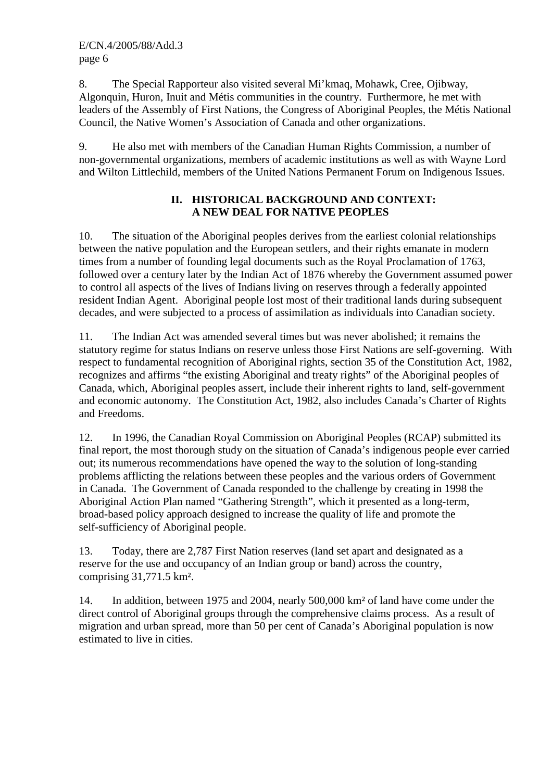8. The Special Rapporteur also visited several Mi'kmaq, Mohawk, Cree, Ojibway, Algonquin, Huron, Inuit and Métis communities in the country. Furthermore, he met with leaders of the Assembly of First Nations, the Congress of Aboriginal Peoples, the Métis National Council, the Native Women's Association of Canada and other organizations.

9. He also met with members of the Canadian Human Rights Commission, a number of non-governmental organizations, members of academic institutions as well as with Wayne Lord and Wilton Littlechild, members of the United Nations Permanent Forum on Indigenous Issues.

# **II. HISTORICAL BACKGROUND AND CONTEXT: A NEW DEAL FOR NATIVE PEOPLES**

10. The situation of the Aboriginal peoples derives from the earliest colonial relationships between the native population and the European settlers, and their rights emanate in modern times from a number of founding legal documents such as the Royal Proclamation of 1763, followed over a century later by the Indian Act of 1876 whereby the Government assumed power to control all aspects of the lives of Indians living on reserves through a federally appointed resident Indian Agent. Aboriginal people lost most of their traditional lands during subsequent decades, and were subjected to a process of assimilation as individuals into Canadian society.

11. The Indian Act was amended several times but was never abolished; it remains the statutory regime for status Indians on reserve unless those First Nations are self-governing. With respect to fundamental recognition of Aboriginal rights, section 35 of the Constitution Act, 1982, recognizes and affirms "the existing Aboriginal and treaty rights" of the Aboriginal peoples of Canada, which, Aboriginal peoples assert, include their inherent rights to land, self-government and economic autonomy. The Constitution Act, 1982, also includes Canada's Charter of Rights and Freedoms.

12. In 1996, the Canadian Royal Commission on Aboriginal Peoples (RCAP) submitted its final report, the most thorough study on the situation of Canada's indigenous people ever carried out; its numerous recommendations have opened the way to the solution of long-standing problems afflicting the relations between these peoples and the various orders of Government in Canada. The Government of Canada responded to the challenge by creating in 1998 the Aboriginal Action Plan named "Gathering Strength", which it presented as a long-term, broad-based policy approach designed to increase the quality of life and promote the self-sufficiency of Aboriginal people.

13. Today, there are 2,787 First Nation reserves (land set apart and designated as a reserve for the use and occupancy of an Indian group or band) across the country, comprising 31,771.5 km².

14. In addition, between 1975 and 2004, nearly 500,000 km² of land have come under the direct control of Aboriginal groups through the comprehensive claims process. As a result of migration and urban spread, more than 50 per cent of Canada's Aboriginal population is now estimated to live in cities.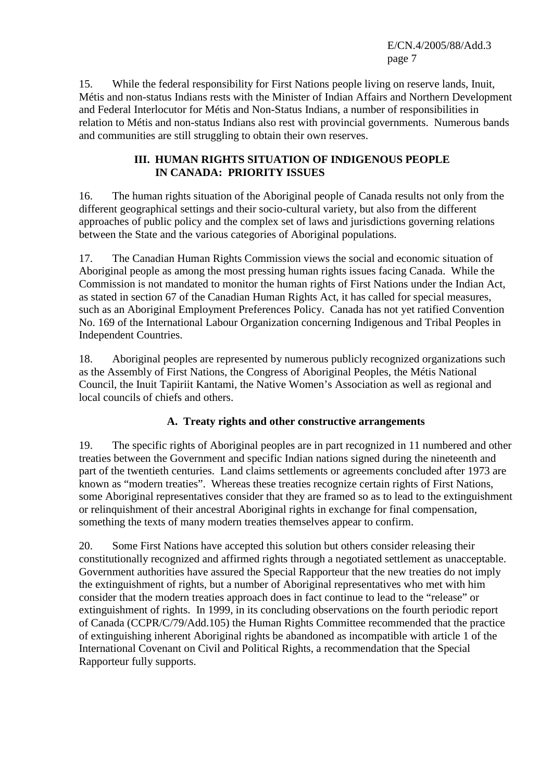E/CN.4/2005/88/Add.3 page 7

15. While the federal responsibility for First Nations people living on reserve lands, Inuit, Métis and non-status Indians rests with the Minister of Indian Affairs and Northern Development and Federal Interlocutor for Métis and Non-Status Indians, a number of responsibilities in relation to Métis and non-status Indians also rest with provincial governments. Numerous bands and communities are still struggling to obtain their own reserves.

#### **III. HUMAN RIGHTS SITUATION OF INDIGENOUS PEOPLE IN CANADA: PRIORITY ISSUES**

16. The human rights situation of the Aboriginal people of Canada results not only from the different geographical settings and their socio-cultural variety, but also from the different approaches of public policy and the complex set of laws and jurisdictions governing relations between the State and the various categories of Aboriginal populations.

17. The Canadian Human Rights Commission views the social and economic situation of Aboriginal people as among the most pressing human rights issues facing Canada. While the Commission is not mandated to monitor the human rights of First Nations under the Indian Act, as stated in section 67 of the Canadian Human Rights Act, it has called for special measures, such as an Aboriginal Employment Preferences Policy. Canada has not yet ratified Convention No. 169 of the International Labour Organization concerning Indigenous and Tribal Peoples in Independent Countries.

18. Aboriginal peoples are represented by numerous publicly recognized organizations such as the Assembly of First Nations, the Congress of Aboriginal Peoples, the Métis National Council, the Inuit Tapiriit Kantami, the Native Women's Association as well as regional and local councils of chiefs and others.

# **A. Treaty rights and other constructive arrangements**

19. The specific rights of Aboriginal peoples are in part recognized in 11 numbered and other treaties between the Government and specific Indian nations signed during the nineteenth and part of the twentieth centuries. Land claims settlements or agreements concluded after 1973 are known as "modern treaties". Whereas these treaties recognize certain rights of First Nations, some Aboriginal representatives consider that they are framed so as to lead to the extinguishment or relinquishment of their ancestral Aboriginal rights in exchange for final compensation, something the texts of many modern treaties themselves appear to confirm.

20. Some First Nations have accepted this solution but others consider releasing their constitutionally recognized and affirmed rights through a negotiated settlement as unacceptable. Government authorities have assured the Special Rapporteur that the new treaties do not imply the extinguishment of rights, but a number of Aboriginal representatives who met with him consider that the modern treaties approach does in fact continue to lead to the "release" or extinguishment of rights. In 1999, in its concluding observations on the fourth periodic report of Canada (CCPR/C/79/Add.105) the Human Rights Committee recommended that the practice of extinguishing inherent Aboriginal rights be abandoned as incompatible with article 1 of the International Covenant on Civil and Political Rights, a recommendation that the Special Rapporteur fully supports.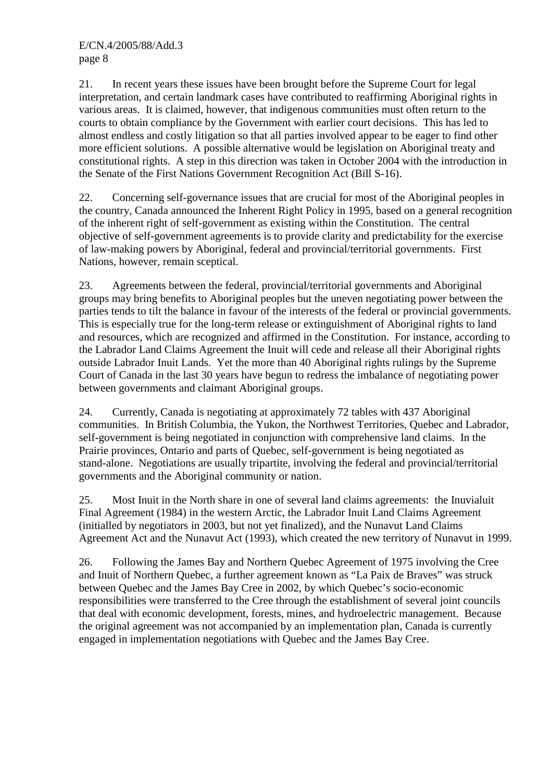21. In recent years these issues have been brought before the Supreme Court for legal interpretation, and certain landmark cases have contributed to reaffirming Aboriginal rights in various areas. It is claimed, however, that indigenous communities must often return to the courts to obtain compliance by the Government with earlier court decisions. This has led to almost endless and costly litigation so that all parties involved appear to be eager to find other more efficient solutions. A possible alternative would be legislation on Aboriginal treaty and constitutional rights. A step in this direction was taken in October 2004 with the introduction in the Senate of the First Nations Government Recognition Act (Bill S-16).

22. Concerning self-governance issues that are crucial for most of the Aboriginal peoples in the country, Canada announced the Inherent Right Policy in 1995, based on a general recognition of the inherent right of self-government as existing within the Constitution. The central objective of self-government agreements is to provide clarity and predictability for the exercise of law-making powers by Aboriginal, federal and provincial/territorial governments. First Nations, however, remain sceptical.

23. Agreements between the federal, provincial/territorial governments and Aboriginal groups may bring benefits to Aboriginal peoples but the uneven negotiating power between the parties tends to tilt the balance in favour of the interests of the federal or provincial governments. This is especially true for the long-term release or extinguishment of Aboriginal rights to land and resources, which are recognized and affirmed in the Constitution. For instance, according to the Labrador Land Claims Agreement the Inuit will cede and release all their Aboriginal rights outside Labrador Inuit Lands. Yet the more than 40 Aboriginal rights rulings by the Supreme Court of Canada in the last 30 years have begun to redress the imbalance of negotiating power between governments and claimant Aboriginal groups.

24. Currently, Canada is negotiating at approximately 72 tables with 437 Aboriginal communities. In British Columbia, the Yukon, the Northwest Territories, Quebec and Labrador, self-government is being negotiated in conjunction with comprehensive land claims. In the Prairie provinces, Ontario and parts of Quebec, self-government is being negotiated as stand-alone. Negotiations are usually tripartite, involving the federal and provincial/territorial governments and the Aboriginal community or nation.

25. Most Inuit in the North share in one of several land claims agreements: the Inuvialuit Final Agreement (1984) in the western Arctic, the Labrador Inuit Land Claims Agreement (initialled by negotiators in 2003, but not yet finalized), and the Nunavut Land Claims Agreement Act and the Nunavut Act (1993), which created the new territory of Nunavut in 1999.

26. Following the James Bay and Northern Quebec Agreement of 1975 involving the Cree and Inuit of Northern Quebec, a further agreement known as "La Paix de Braves" was struck between Quebec and the James Bay Cree in 2002, by which Quebec's socio-economic responsibilities were transferred to the Cree through the establishment of several joint councils that deal with economic development, forests, mines, and hydroelectric management. Because the original agreement was not accompanied by an implementation plan, Canada is currently engaged in implementation negotiations with Quebec and the James Bay Cree.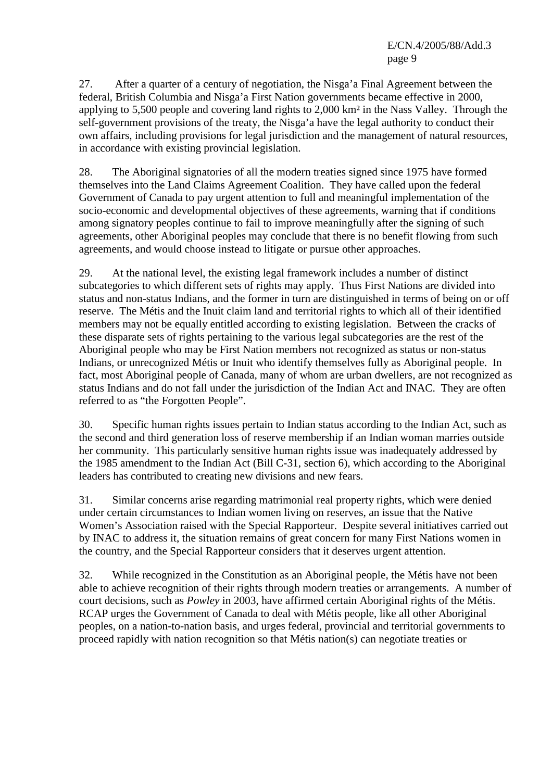27. After a quarter of a century of negotiation, the Nisga'a Final Agreement between the federal, British Columbia and Nisga'a First Nation governments became effective in 2000, applying to 5,500 people and covering land rights to 2,000 km² in the Nass Valley. Through the self-government provisions of the treaty, the Nisga'a have the legal authority to conduct their own affairs, including provisions for legal jurisdiction and the management of natural resources, in accordance with existing provincial legislation.

28. The Aboriginal signatories of all the modern treaties signed since 1975 have formed themselves into the Land Claims Agreement Coalition. They have called upon the federal Government of Canada to pay urgent attention to full and meaningful implementation of the socio-economic and developmental objectives of these agreements, warning that if conditions among signatory peoples continue to fail to improve meaningfully after the signing of such agreements, other Aboriginal peoples may conclude that there is no benefit flowing from such agreements, and would choose instead to litigate or pursue other approaches.

29. At the national level, the existing legal framework includes a number of distinct subcategories to which different sets of rights may apply. Thus First Nations are divided into status and non-status Indians, and the former in turn are distinguished in terms of being on or off reserve. The Métis and the Inuit claim land and territorial rights to which all of their identified members may not be equally entitled according to existing legislation. Between the cracks of these disparate sets of rights pertaining to the various legal subcategories are the rest of the Aboriginal people who may be First Nation members not recognized as status or non-status Indians, or unrecognized Métis or Inuit who identify themselves fully as Aboriginal people. In fact, most Aboriginal people of Canada, many of whom are urban dwellers, are not recognized as status Indians and do not fall under the jurisdiction of the Indian Act and INAC. They are often referred to as "the Forgotten People".

30. Specific human rights issues pertain to Indian status according to the Indian Act, such as the second and third generation loss of reserve membership if an Indian woman marries outside her community. This particularly sensitive human rights issue was inadequately addressed by the 1985 amendment to the Indian Act (Bill C-31, section 6), which according to the Aboriginal leaders has contributed to creating new divisions and new fears.

31. Similar concerns arise regarding matrimonial real property rights, which were denied under certain circumstances to Indian women living on reserves, an issue that the Native Women's Association raised with the Special Rapporteur. Despite several initiatives carried out by INAC to address it, the situation remains of great concern for many First Nations women in the country, and the Special Rapporteur considers that it deserves urgent attention.

32. While recognized in the Constitution as an Aboriginal people, the Métis have not been able to achieve recognition of their rights through modern treaties or arrangements. A number of court decisions, such as *Powley* in 2003, have affirmed certain Aboriginal rights of the Métis. RCAP urges the Government of Canada to deal with Métis people, like all other Aboriginal peoples, on a nation-to-nation basis, and urges federal, provincial and territorial governments to proceed rapidly with nation recognition so that Métis nation(s) can negotiate treaties or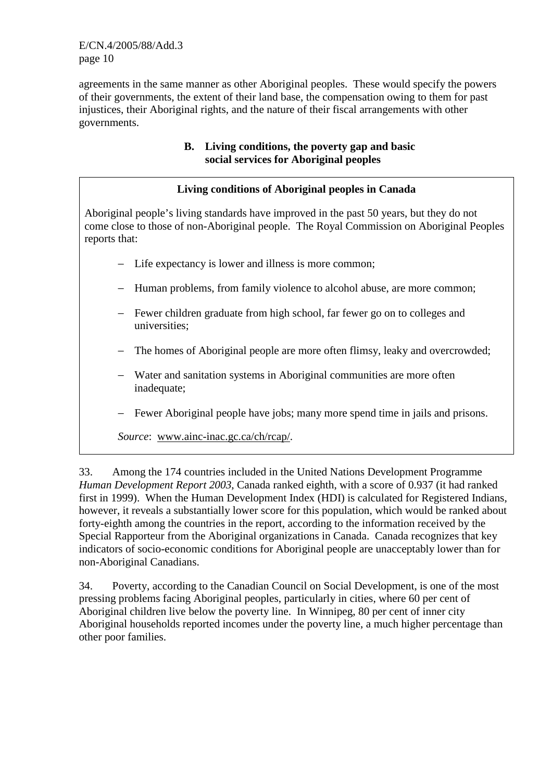E/CN.4/2005/88/Add.3 page 10

agreements in the same manner as other Aboriginal peoples. These would specify the powers of their governments, the extent of their land base, the compensation owing to them for past injustices, their Aboriginal rights, and the nature of their fiscal arrangements with other governments.

# **B. Living conditions, the poverty gap and basic social services for Aboriginal peoples**

# **Living conditions of Aboriginal peoples in Canada**

Aboriginal people's living standards have improved in the past 50 years, but they do not come close to those of non-Aboriginal people. The Royal Commission on Aboriginal Peoples reports that:

- − Life expectancy is lower and illness is more common;
- − Human problems, from family violence to alcohol abuse, are more common;
- − Fewer children graduate from high school, far fewer go on to colleges and universities;
- − The homes of Aboriginal people are more often flimsy, leaky and overcrowded;
- − Water and sanitation systems in Aboriginal communities are more often inadequate;
- − Fewer Aboriginal people have jobs; many more spend time in jails and prisons.

*Source*: www.ainc-inac.gc.ca/ch/rcap/.

33. Among the 174 countries included in the United Nations Development Programme *Human Development Report 2003*, Canada ranked eighth, with a score of 0.937 (it had ranked first in 1999). When the Human Development Index (HDI) is calculated for Registered Indians, however, it reveals a substantially lower score for this population, which would be ranked about forty-eighth among the countries in the report, according to the information received by the Special Rapporteur from the Aboriginal organizations in Canada. Canada recognizes that key indicators of socio-economic conditions for Aboriginal people are unacceptably lower than for non-Aboriginal Canadians.

34. Poverty, according to the Canadian Council on Social Development, is one of the most pressing problems facing Aboriginal peoples, particularly in cities, where 60 per cent of Aboriginal children live below the poverty line. In Winnipeg, 80 per cent of inner city Aboriginal households reported incomes under the poverty line, a much higher percentage than other poor families.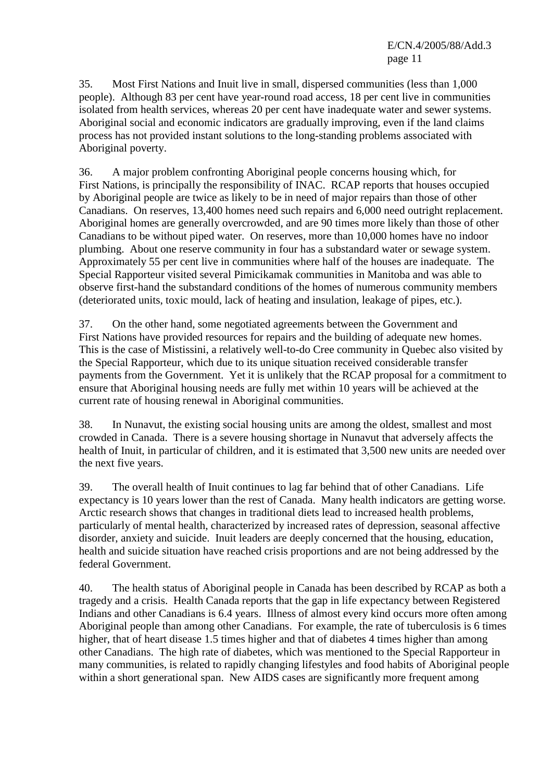35. Most First Nations and Inuit live in small, dispersed communities (less than 1,000 people). Although 83 per cent have year-round road access, 18 per cent live in communities isolated from health services, whereas 20 per cent have inadequate water and sewer systems. Aboriginal social and economic indicators are gradually improving, even if the land claims process has not provided instant solutions to the long-standing problems associated with Aboriginal poverty.

36. A major problem confronting Aboriginal people concerns housing which, for First Nations, is principally the responsibility of INAC. RCAP reports that houses occupied by Aboriginal people are twice as likely to be in need of major repairs than those of other Canadians. On reserves, 13,400 homes need such repairs and 6,000 need outright replacement. Aboriginal homes are generally overcrowded, and are 90 times more likely than those of other Canadians to be without piped water. On reserves, more than 10,000 homes have no indoor plumbing. About one reserve community in four has a substandard water or sewage system. Approximately 55 per cent live in communities where half of the houses are inadequate. The Special Rapporteur visited several Pimicikamak communities in Manitoba and was able to observe first-hand the substandard conditions of the homes of numerous community members (deteriorated units, toxic mould, lack of heating and insulation, leakage of pipes, etc.).

37. On the other hand, some negotiated agreements between the Government and First Nations have provided resources for repairs and the building of adequate new homes. This is the case of Mistissini, a relatively well-to-do Cree community in Quebec also visited by the Special Rapporteur, which due to its unique situation received considerable transfer payments from the Government. Yet it is unlikely that the RCAP proposal for a commitment to ensure that Aboriginal housing needs are fully met within 10 years will be achieved at the current rate of housing renewal in Aboriginal communities.

38. In Nunavut, the existing social housing units are among the oldest, smallest and most crowded in Canada. There is a severe housing shortage in Nunavut that adversely affects the health of Inuit, in particular of children, and it is estimated that 3,500 new units are needed over the next five years.

39. The overall health of Inuit continues to lag far behind that of other Canadians. Life expectancy is 10 years lower than the rest of Canada. Many health indicators are getting worse. Arctic research shows that changes in traditional diets lead to increased health problems, particularly of mental health, characterized by increased rates of depression, seasonal affective disorder, anxiety and suicide. Inuit leaders are deeply concerned that the housing, education, health and suicide situation have reached crisis proportions and are not being addressed by the federal Government.

40. The health status of Aboriginal people in Canada has been described by RCAP as both a tragedy and a crisis. Health Canada reports that the gap in life expectancy between Registered Indians and other Canadians is 6.4 years. Illness of almost every kind occurs more often among Aboriginal people than among other Canadians. For example, the rate of tuberculosis is 6 times higher, that of heart disease 1.5 times higher and that of diabetes 4 times higher than among other Canadians. The high rate of diabetes, which was mentioned to the Special Rapporteur in many communities, is related to rapidly changing lifestyles and food habits of Aboriginal people within a short generational span. New AIDS cases are significantly more frequent among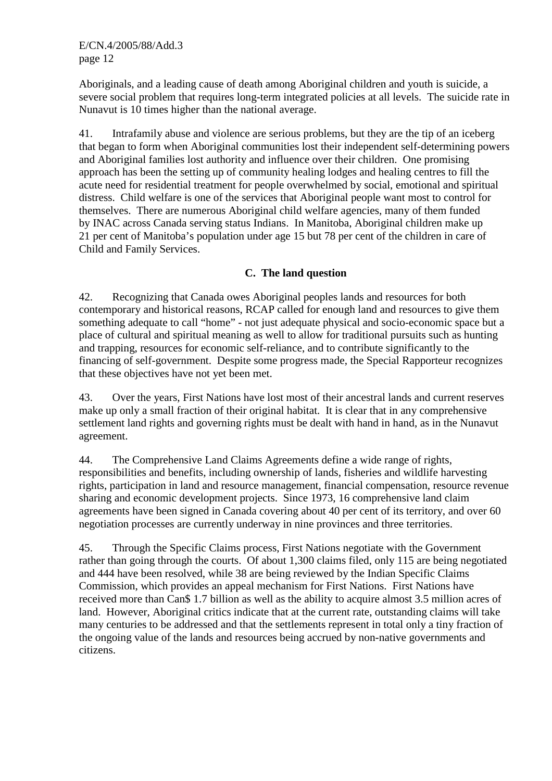Aboriginals, and a leading cause of death among Aboriginal children and youth is suicide, a severe social problem that requires long-term integrated policies at all levels. The suicide rate in Nunavut is 10 times higher than the national average.

41. Intrafamily abuse and violence are serious problems, but they are the tip of an iceberg that began to form when Aboriginal communities lost their independent self-determining powers and Aboriginal families lost authority and influence over their children. One promising approach has been the setting up of community healing lodges and healing centres to fill the acute need for residential treatment for people overwhelmed by social, emotional and spiritual distress. Child welfare is one of the services that Aboriginal people want most to control for themselves. There are numerous Aboriginal child welfare agencies, many of them funded by INAC across Canada serving status Indians. In Manitoba, Aboriginal children make up 21 per cent of Manitoba's population under age 15 but 78 per cent of the children in care of Child and Family Services.

# **C. The land question**

42. Recognizing that Canada owes Aboriginal peoples lands and resources for both contemporary and historical reasons, RCAP called for enough land and resources to give them something adequate to call "home" - not just adequate physical and socio-economic space but a place of cultural and spiritual meaning as well to allow for traditional pursuits such as hunting and trapping, resources for economic self-reliance, and to contribute significantly to the financing of self-government. Despite some progress made, the Special Rapporteur recognizes that these objectives have not yet been met.

43. Over the years, First Nations have lost most of their ancestral lands and current reserves make up only a small fraction of their original habitat. It is clear that in any comprehensive settlement land rights and governing rights must be dealt with hand in hand, as in the Nunavut agreement.

44. The Comprehensive Land Claims Agreements define a wide range of rights, responsibilities and benefits, including ownership of lands, fisheries and wildlife harvesting rights, participation in land and resource management, financial compensation, resource revenue sharing and economic development projects. Since 1973, 16 comprehensive land claim agreements have been signed in Canada covering about 40 per cent of its territory, and over 60 negotiation processes are currently underway in nine provinces and three territories.

45. Through the Specific Claims process, First Nations negotiate with the Government rather than going through the courts. Of about 1,300 claims filed, only 115 are being negotiated and 444 have been resolved, while 38 are being reviewed by the Indian Specific Claims Commission, which provides an appeal mechanism for First Nations. First Nations have received more than Can\$ 1.7 billion as well as the ability to acquire almost 3.5 million acres of land. However, Aboriginal critics indicate that at the current rate, outstanding claims will take many centuries to be addressed and that the settlements represent in total only a tiny fraction of the ongoing value of the lands and resources being accrued by non-native governments and citizens.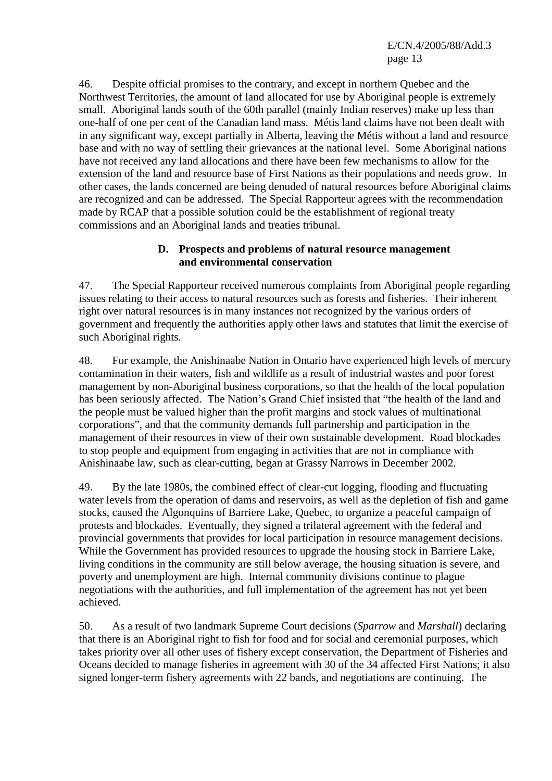E/CN.4/2005/88/Add.3 page 13

46. Despite official promises to the contrary, and except in northern Quebec and the Northwest Territories, the amount of land allocated for use by Aboriginal people is extremely small. Aboriginal lands south of the 60th parallel (mainly Indian reserves) make up less than one-half of one per cent of the Canadian land mass. Métis land claims have not been dealt with in any significant way, except partially in Alberta, leaving the Métis without a land and resource base and with no way of settling their grievances at the national level. Some Aboriginal nations have not received any land allocations and there have been few mechanisms to allow for the extension of the land and resource base of First Nations as their populations and needs grow. In other cases, the lands concerned are being denuded of natural resources before Aboriginal claims are recognized and can be addressed. The Special Rapporteur agrees with the recommendation made by RCAP that a possible solution could be the establishment of regional treaty commissions and an Aboriginal lands and treaties tribunal.

#### **D. Prospects and problems of natural resource management and environmental conservation**

47. The Special Rapporteur received numerous complaints from Aboriginal people regarding issues relating to their access to natural resources such as forests and fisheries. Their inherent right over natural resources is in many instances not recognized by the various orders of government and frequently the authorities apply other laws and statutes that limit the exercise of such Aboriginal rights.

48. For example, the Anishinaabe Nation in Ontario have experienced high levels of mercury contamination in their waters, fish and wildlife as a result of industrial wastes and poor forest management by non-Aboriginal business corporations, so that the health of the local population has been seriously affected. The Nation's Grand Chief insisted that "the health of the land and the people must be valued higher than the profit margins and stock values of multinational corporations", and that the community demands full partnership and participation in the management of their resources in view of their own sustainable development. Road blockades to stop people and equipment from engaging in activities that are not in compliance with Anishinaabe law, such as clear-cutting, began at Grassy Narrows in December 2002.

49. By the late 1980s, the combined effect of clear-cut logging, flooding and fluctuating water levels from the operation of dams and reservoirs, as well as the depletion of fish and game stocks, caused the Algonquins of Barriere Lake, Quebec, to organize a peaceful campaign of protests and blockades. Eventually, they signed a trilateral agreement with the federal and provincial governments that provides for local participation in resource management decisions. While the Government has provided resources to upgrade the housing stock in Barriere Lake, living conditions in the community are still below average, the housing situation is severe, and poverty and unemployment are high. Internal community divisions continue to plague negotiations with the authorities, and full implementation of the agreement has not yet been achieved.

50. As a result of two landmark Supreme Court decisions (*Sparrow* and *Marshall*) declaring that there is an Aboriginal right to fish for food and for social and ceremonial purposes, which takes priority over all other uses of fishery except conservation, the Department of Fisheries and Oceans decided to manage fisheries in agreement with 30 of the 34 affected First Nations; it also signed longer-term fishery agreements with 22 bands, and negotiations are continuing. The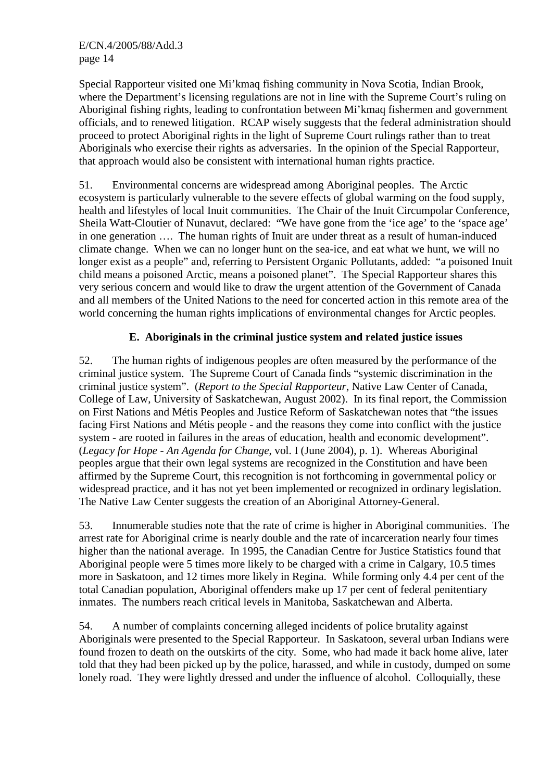Special Rapporteur visited one Mi'kmaq fishing community in Nova Scotia, Indian Brook, where the Department's licensing regulations are not in line with the Supreme Court's ruling on Aboriginal fishing rights, leading to confrontation between Mi'kmaq fishermen and government officials, and to renewed litigation. RCAP wisely suggests that the federal administration should proceed to protect Aboriginal rights in the light of Supreme Court rulings rather than to treat Aboriginals who exercise their rights as adversaries. In the opinion of the Special Rapporteur, that approach would also be consistent with international human rights practice.

51. Environmental concerns are widespread among Aboriginal peoples. The Arctic ecosystem is particularly vulnerable to the severe effects of global warming on the food supply, health and lifestyles of local Inuit communities. The Chair of the Inuit Circumpolar Conference, Sheila Watt-Cloutier of Nunavut, declared: "We have gone from the 'ice age' to the 'space age' in one generation …. The human rights of Inuit are under threat as a result of human-induced climate change. When we can no longer hunt on the sea-ice, and eat what we hunt, we will no longer exist as a people" and, referring to Persistent Organic Pollutants, added: "a poisoned Inuit child means a poisoned Arctic, means a poisoned planet". The Special Rapporteur shares this very serious concern and would like to draw the urgent attention of the Government of Canada and all members of the United Nations to the need for concerted action in this remote area of the world concerning the human rights implications of environmental changes for Arctic peoples.

# **E. Aboriginals in the criminal justice system and related justice issues**

52. The human rights of indigenous peoples are often measured by the performance of the criminal justice system. The Supreme Court of Canada finds "systemic discrimination in the criminal justice system". (*Report to the Special Rapporteur*, Native Law Center of Canada, College of Law, University of Saskatchewan, August 2002). In its final report, the Commission on First Nations and Métis Peoples and Justice Reform of Saskatchewan notes that "the issues facing First Nations and Métis people - and the reasons they come into conflict with the justice system - are rooted in failures in the areas of education, health and economic development". (*Legacy for Hope - An Agenda for Change*, vol. I (June 2004), p. 1). Whereas Aboriginal peoples argue that their own legal systems are recognized in the Constitution and have been affirmed by the Supreme Court, this recognition is not forthcoming in governmental policy or widespread practice, and it has not yet been implemented or recognized in ordinary legislation. The Native Law Center suggests the creation of an Aboriginal Attorney-General.

53. Innumerable studies note that the rate of crime is higher in Aboriginal communities. The arrest rate for Aboriginal crime is nearly double and the rate of incarceration nearly four times higher than the national average. In 1995, the Canadian Centre for Justice Statistics found that Aboriginal people were 5 times more likely to be charged with a crime in Calgary, 10.5 times more in Saskatoon, and 12 times more likely in Regina. While forming only 4.4 per cent of the total Canadian population, Aboriginal offenders make up 17 per cent of federal penitentiary inmates. The numbers reach critical levels in Manitoba, Saskatchewan and Alberta.

54. A number of complaints concerning alleged incidents of police brutality against Aboriginals were presented to the Special Rapporteur. In Saskatoon, several urban Indians were found frozen to death on the outskirts of the city. Some, who had made it back home alive, later told that they had been picked up by the police, harassed, and while in custody, dumped on some lonely road. They were lightly dressed and under the influence of alcohol. Colloquially, these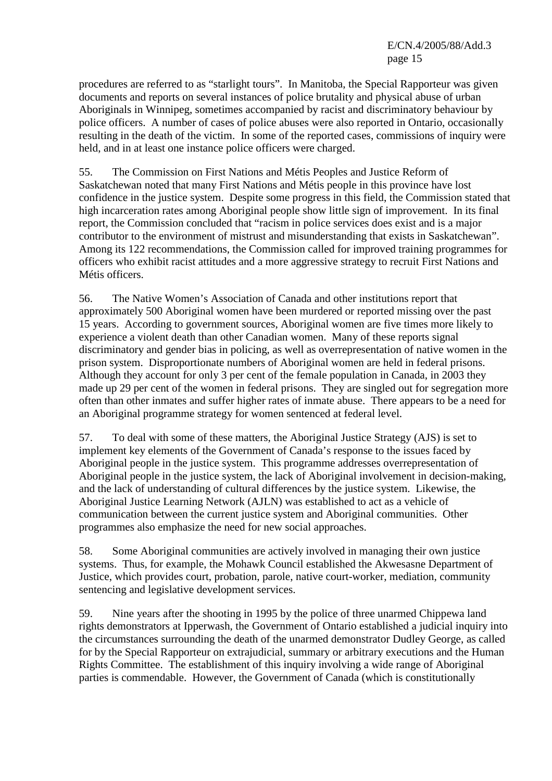procedures are referred to as "starlight tours". In Manitoba, the Special Rapporteur was given documents and reports on several instances of police brutality and physical abuse of urban Aboriginals in Winnipeg, sometimes accompanied by racist and discriminatory behaviour by police officers. A number of cases of police abuses were also reported in Ontario, occasionally resulting in the death of the victim. In some of the reported cases, commissions of inquiry were held, and in at least one instance police officers were charged.

55. The Commission on First Nations and Métis Peoples and Justice Reform of Saskatchewan noted that many First Nations and Métis people in this province have lost confidence in the justice system. Despite some progress in this field, the Commission stated that high incarceration rates among Aboriginal people show little sign of improvement. In its final report, the Commission concluded that "racism in police services does exist and is a major contributor to the environment of mistrust and misunderstanding that exists in Saskatchewan". Among its 122 recommendations, the Commission called for improved training programmes for officers who exhibit racist attitudes and a more aggressive strategy to recruit First Nations and Métis officers.

56. The Native Women's Association of Canada and other institutions report that approximately 500 Aboriginal women have been murdered or reported missing over the past 15 years. According to government sources, Aboriginal women are five times more likely to experience a violent death than other Canadian women. Many of these reports signal discriminatory and gender bias in policing, as well as overrepresentation of native women in the prison system. Disproportionate numbers of Aboriginal women are held in federal prisons. Although they account for only 3 per cent of the female population in Canada, in 2003 they made up 29 per cent of the women in federal prisons. They are singled out for segregation more often than other inmates and suffer higher rates of inmate abuse. There appears to be a need for an Aboriginal programme strategy for women sentenced at federal level.

57. To deal with some of these matters, the Aboriginal Justice Strategy (AJS) is set to implement key elements of the Government of Canada's response to the issues faced by Aboriginal people in the justice system. This programme addresses overrepresentation of Aboriginal people in the justice system, the lack of Aboriginal involvement in decision-making, and the lack of understanding of cultural differences by the justice system. Likewise, the Aboriginal Justice Learning Network (AJLN) was established to act as a vehicle of communication between the current justice system and Aboriginal communities. Other programmes also emphasize the need for new social approaches.

58. Some Aboriginal communities are actively involved in managing their own justice systems. Thus, for example, the Mohawk Council established the Akwesasne Department of Justice, which provides court, probation, parole, native court-worker, mediation, community sentencing and legislative development services.

59. Nine years after the shooting in 1995 by the police of three unarmed Chippewa land rights demonstrators at Ipperwash, the Government of Ontario established a judicial inquiry into the circumstances surrounding the death of the unarmed demonstrator Dudley George, as called for by the Special Rapporteur on extrajudicial, summary or arbitrary executions and the Human Rights Committee. The establishment of this inquiry involving a wide range of Aboriginal parties is commendable. However, the Government of Canada (which is constitutionally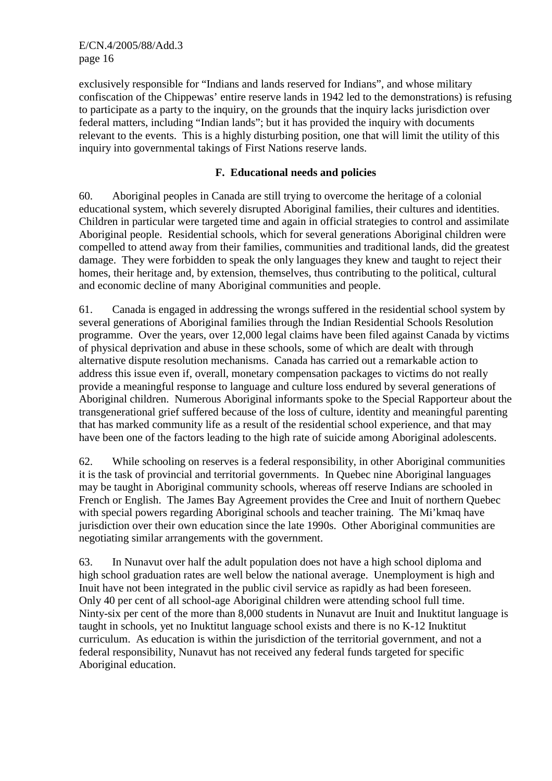E/CN.4/2005/88/Add.3 page 16

exclusively responsible for "Indians and lands reserved for Indians", and whose military confiscation of the Chippewas' entire reserve lands in 1942 led to the demonstrations) is refusing to participate as a party to the inquiry, on the grounds that the inquiry lacks jurisdiction over federal matters, including "Indian lands"; but it has provided the inquiry with documents relevant to the events. This is a highly disturbing position, one that will limit the utility of this inquiry into governmental takings of First Nations reserve lands.

#### **F. Educational needs and policies**

60. Aboriginal peoples in Canada are still trying to overcome the heritage of a colonial educational system, which severely disrupted Aboriginal families, their cultures and identities. Children in particular were targeted time and again in official strategies to control and assimilate Aboriginal people. Residential schools, which for several generations Aboriginal children were compelled to attend away from their families, communities and traditional lands, did the greatest damage. They were forbidden to speak the only languages they knew and taught to reject their homes, their heritage and, by extension, themselves, thus contributing to the political, cultural and economic decline of many Aboriginal communities and people.

61. Canada is engaged in addressing the wrongs suffered in the residential school system by several generations of Aboriginal families through the Indian Residential Schools Resolution programme. Over the years, over 12,000 legal claims have been filed against Canada by victims of physical deprivation and abuse in these schools, some of which are dealt with through alternative dispute resolution mechanisms. Canada has carried out a remarkable action to address this issue even if, overall, monetary compensation packages to victims do not really provide a meaningful response to language and culture loss endured by several generations of Aboriginal children. Numerous Aboriginal informants spoke to the Special Rapporteur about the transgenerational grief suffered because of the loss of culture, identity and meaningful parenting that has marked community life as a result of the residential school experience, and that may have been one of the factors leading to the high rate of suicide among Aboriginal adolescents.

62. While schooling on reserves is a federal responsibility, in other Aboriginal communities it is the task of provincial and territorial governments. In Quebec nine Aboriginal languages may be taught in Aboriginal community schools, whereas off reserve Indians are schooled in French or English. The James Bay Agreement provides the Cree and Inuit of northern Quebec with special powers regarding Aboriginal schools and teacher training. The Mi'kmaq have jurisdiction over their own education since the late 1990s. Other Aboriginal communities are negotiating similar arrangements with the government.

63. In Nunavut over half the adult population does not have a high school diploma and high school graduation rates are well below the national average. Unemployment is high and Inuit have not been integrated in the public civil service as rapidly as had been foreseen. Only 40 per cent of all school-age Aboriginal children were attending school full time. Ninty-six per cent of the more than 8,000 students in Nunavut are Inuit and Inuktitut language is taught in schools, yet no Inuktitut language school exists and there is no K-12 Inuktitut curriculum. As education is within the jurisdiction of the territorial government, and not a federal responsibility, Nunavut has not received any federal funds targeted for specific Aboriginal education.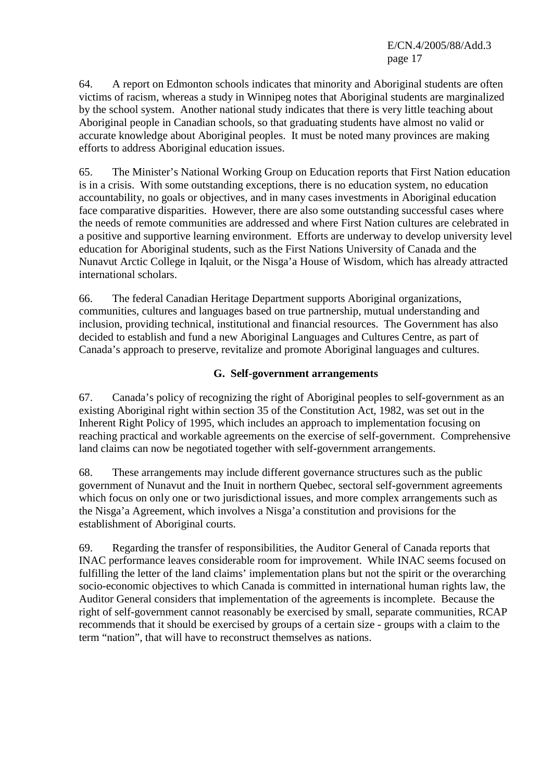E/CN.4/2005/88/Add.3 page 17

64. A report on Edmonton schools indicates that minority and Aboriginal students are often victims of racism, whereas a study in Winnipeg notes that Aboriginal students are marginalized by the school system. Another national study indicates that there is very little teaching about Aboriginal people in Canadian schools, so that graduating students have almost no valid or accurate knowledge about Aboriginal peoples. It must be noted many provinces are making efforts to address Aboriginal education issues.

65. The Minister's National Working Group on Education reports that First Nation education is in a crisis. With some outstanding exceptions, there is no education system, no education accountability, no goals or objectives, and in many cases investments in Aboriginal education face comparative disparities. However, there are also some outstanding successful cases where the needs of remote communities are addressed and where First Nation cultures are celebrated in a positive and supportive learning environment. Efforts are underway to develop university level education for Aboriginal students, such as the First Nations University of Canada and the Nunavut Arctic College in Iqaluit, or the Nisga'a House of Wisdom, which has already attracted international scholars.

66. The federal Canadian Heritage Department supports Aboriginal organizations, communities, cultures and languages based on true partnership, mutual understanding and inclusion, providing technical, institutional and financial resources. The Government has also decided to establish and fund a new Aboriginal Languages and Cultures Centre, as part of Canada's approach to preserve, revitalize and promote Aboriginal languages and cultures.

# **G. Self-government arrangements**

67. Canada's policy of recognizing the right of Aboriginal peoples to self-government as an existing Aboriginal right within section 35 of the Constitution Act, 1982, was set out in the Inherent Right Policy of 1995, which includes an approach to implementation focusing on reaching practical and workable agreements on the exercise of self-government. Comprehensive land claims can now be negotiated together with self-government arrangements.

68. These arrangements may include different governance structures such as the public government of Nunavut and the Inuit in northern Quebec, sectoral self-government agreements which focus on only one or two jurisdictional issues, and more complex arrangements such as the Nisga'a Agreement, which involves a Nisga'a constitution and provisions for the establishment of Aboriginal courts.

69. Regarding the transfer of responsibilities, the Auditor General of Canada reports that INAC performance leaves considerable room for improvement. While INAC seems focused on fulfilling the letter of the land claims' implementation plans but not the spirit or the overarching socio-economic objectives to which Canada is committed in international human rights law, the Auditor General considers that implementation of the agreements is incomplete. Because the right of self-government cannot reasonably be exercised by small, separate communities, RCAP recommends that it should be exercised by groups of a certain size - groups with a claim to the term "nation", that will have to reconstruct themselves as nations.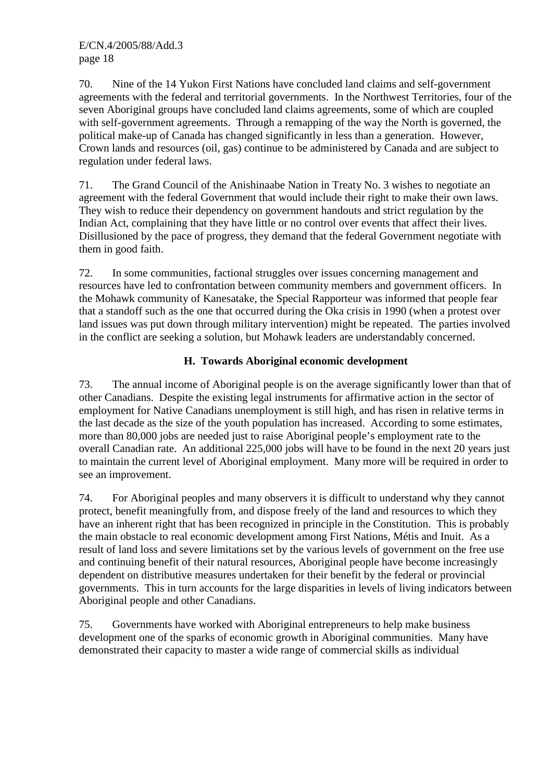70. Nine of the 14 Yukon First Nations have concluded land claims and self-government agreements with the federal and territorial governments. In the Northwest Territories, four of the seven Aboriginal groups have concluded land claims agreements, some of which are coupled with self-government agreements. Through a remapping of the way the North is governed, the political make-up of Canada has changed significantly in less than a generation. However, Crown lands and resources (oil, gas) continue to be administered by Canada and are subject to regulation under federal laws.

71. The Grand Council of the Anishinaabe Nation in Treaty No. 3 wishes to negotiate an agreement with the federal Government that would include their right to make their own laws. They wish to reduce their dependency on government handouts and strict regulation by the Indian Act, complaining that they have little or no control over events that affect their lives. Disillusioned by the pace of progress, they demand that the federal Government negotiate with them in good faith.

72. In some communities, factional struggles over issues concerning management and resources have led to confrontation between community members and government officers. In the Mohawk community of Kanesatake, the Special Rapporteur was informed that people fear that a standoff such as the one that occurred during the Oka crisis in 1990 (when a protest over land issues was put down through military intervention) might be repeated. The parties involved in the conflict are seeking a solution, but Mohawk leaders are understandably concerned.

# **H. Towards Aboriginal economic development**

73. The annual income of Aboriginal people is on the average significantly lower than that of other Canadians. Despite the existing legal instruments for affirmative action in the sector of employment for Native Canadians unemployment is still high, and has risen in relative terms in the last decade as the size of the youth population has increased. According to some estimates, more than 80,000 jobs are needed just to raise Aboriginal people's employment rate to the overall Canadian rate. An additional 225,000 jobs will have to be found in the next 20 years just to maintain the current level of Aboriginal employment. Many more will be required in order to see an improvement.

74. For Aboriginal peoples and many observers it is difficult to understand why they cannot protect, benefit meaningfully from, and dispose freely of the land and resources to which they have an inherent right that has been recognized in principle in the Constitution. This is probably the main obstacle to real economic development among First Nations, Métis and Inuit. As a result of land loss and severe limitations set by the various levels of government on the free use and continuing benefit of their natural resources, Aboriginal people have become increasingly dependent on distributive measures undertaken for their benefit by the federal or provincial governments. This in turn accounts for the large disparities in levels of living indicators between Aboriginal people and other Canadians.

75. Governments have worked with Aboriginal entrepreneurs to help make business development one of the sparks of economic growth in Aboriginal communities. Many have demonstrated their capacity to master a wide range of commercial skills as individual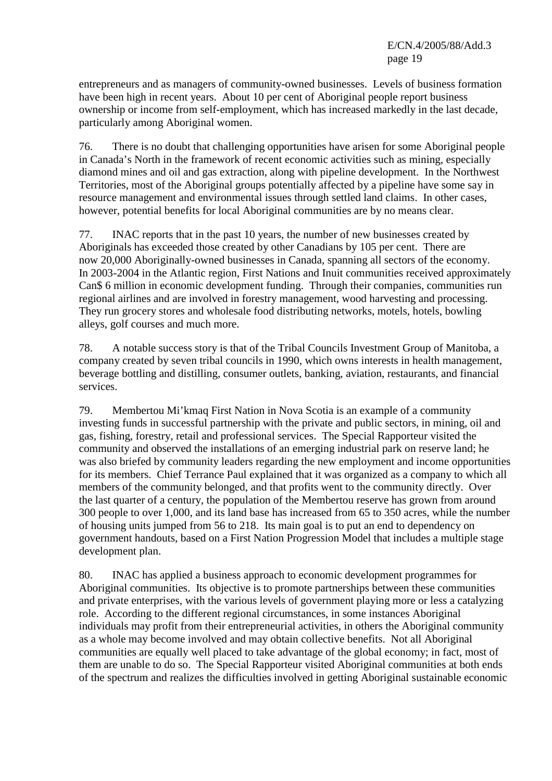entrepreneurs and as managers of community-owned businesses. Levels of business formation have been high in recent years. About 10 per cent of Aboriginal people report business ownership or income from self-employment, which has increased markedly in the last decade, particularly among Aboriginal women.

76. There is no doubt that challenging opportunities have arisen for some Aboriginal people in Canada's North in the framework of recent economic activities such as mining, especially diamond mines and oil and gas extraction, along with pipeline development. In the Northwest Territories, most of the Aboriginal groups potentially affected by a pipeline have some say in resource management and environmental issues through settled land claims. In other cases, however, potential benefits for local Aboriginal communities are by no means clear.

77. INAC reports that in the past 10 years, the number of new businesses created by Aboriginals has exceeded those created by other Canadians by 105 per cent. There are now 20,000 Aboriginally-owned businesses in Canada, spanning all sectors of the economy. In 2003-2004 in the Atlantic region, First Nations and Inuit communities received approximately Can\$ 6 million in economic development funding. Through their companies, communities run regional airlines and are involved in forestry management, wood harvesting and processing. They run grocery stores and wholesale food distributing networks, motels, hotels, bowling alleys, golf courses and much more.

78. A notable success story is that of the Tribal Councils Investment Group of Manitoba, a company created by seven tribal councils in 1990, which owns interests in health management, beverage bottling and distilling, consumer outlets, banking, aviation, restaurants, and financial services.

79. Membertou Mi'kmaq First Nation in Nova Scotia is an example of a community investing funds in successful partnership with the private and public sectors, in mining, oil and gas, fishing, forestry, retail and professional services. The Special Rapporteur visited the community and observed the installations of an emerging industrial park on reserve land; he was also briefed by community leaders regarding the new employment and income opportunities for its members. Chief Terrance Paul explained that it was organized as a company to which all members of the community belonged, and that profits went to the community directly. Over the last quarter of a century, the population of the Membertou reserve has grown from around 300 people to over 1,000, and its land base has increased from 65 to 350 acres, while the number of housing units jumped from 56 to 218. Its main goal is to put an end to dependency on government handouts, based on a First Nation Progression Model that includes a multiple stage development plan.

80. INAC has applied a business approach to economic development programmes for Aboriginal communities. Its objective is to promote partnerships between these communities and private enterprises, with the various levels of government playing more or less a catalyzing role. According to the different regional circumstances, in some instances Aboriginal individuals may profit from their entrepreneurial activities, in others the Aboriginal community as a whole may become involved and may obtain collective benefits. Not all Aboriginal communities are equally well placed to take advantage of the global economy; in fact, most of them are unable to do so. The Special Rapporteur visited Aboriginal communities at both ends of the spectrum and realizes the difficulties involved in getting Aboriginal sustainable economic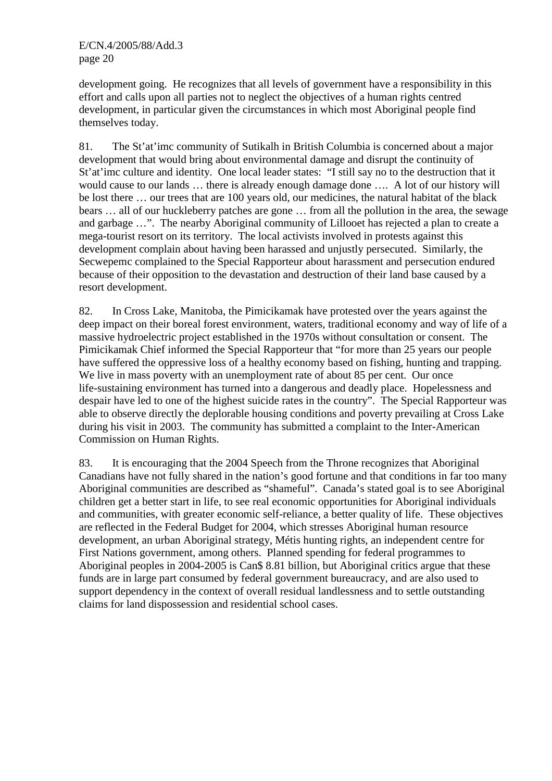development going. He recognizes that all levels of government have a responsibility in this effort and calls upon all parties not to neglect the objectives of a human rights centred development, in particular given the circumstances in which most Aboriginal people find themselves today.

81. The St'at'imc community of Sutikalh in British Columbia is concerned about a major development that would bring about environmental damage and disrupt the continuity of St'at'imc culture and identity. One local leader states: "I still say no to the destruction that it would cause to our lands … there is already enough damage done …. A lot of our history will be lost there … our trees that are 100 years old, our medicines, the natural habitat of the black bears … all of our huckleberry patches are gone … from all the pollution in the area, the sewage and garbage …". The nearby Aboriginal community of Lillooet has rejected a plan to create a mega-tourist resort on its territory. The local activists involved in protests against this development complain about having been harassed and unjustly persecuted. Similarly, the Secwepemc complained to the Special Rapporteur about harassment and persecution endured because of their opposition to the devastation and destruction of their land base caused by a resort development.

82. In Cross Lake, Manitoba, the Pimicikamak have protested over the years against the deep impact on their boreal forest environment, waters, traditional economy and way of life of a massive hydroelectric project established in the 1970s without consultation or consent. The Pimicikamak Chief informed the Special Rapporteur that "for more than 25 years our people have suffered the oppressive loss of a healthy economy based on fishing, hunting and trapping. We live in mass poverty with an unemployment rate of about 85 per cent. Our once life-sustaining environment has turned into a dangerous and deadly place. Hopelessness and despair have led to one of the highest suicide rates in the country". The Special Rapporteur was able to observe directly the deplorable housing conditions and poverty prevailing at Cross Lake during his visit in 2003. The community has submitted a complaint to the Inter-American Commission on Human Rights.

83. It is encouraging that the 2004 Speech from the Throne recognizes that Aboriginal Canadians have not fully shared in the nation's good fortune and that conditions in far too many Aboriginal communities are described as "shameful". Canada's stated goal is to see Aboriginal children get a better start in life, to see real economic opportunities for Aboriginal individuals and communities, with greater economic self-reliance, a better quality of life. These objectives are reflected in the Federal Budget for 2004, which stresses Aboriginal human resource development, an urban Aboriginal strategy, Métis hunting rights, an independent centre for First Nations government, among others. Planned spending for federal programmes to Aboriginal peoples in 2004-2005 is Can\$ 8.81 billion, but Aboriginal critics argue that these funds are in large part consumed by federal government bureaucracy, and are also used to support dependency in the context of overall residual landlessness and to settle outstanding claims for land dispossession and residential school cases.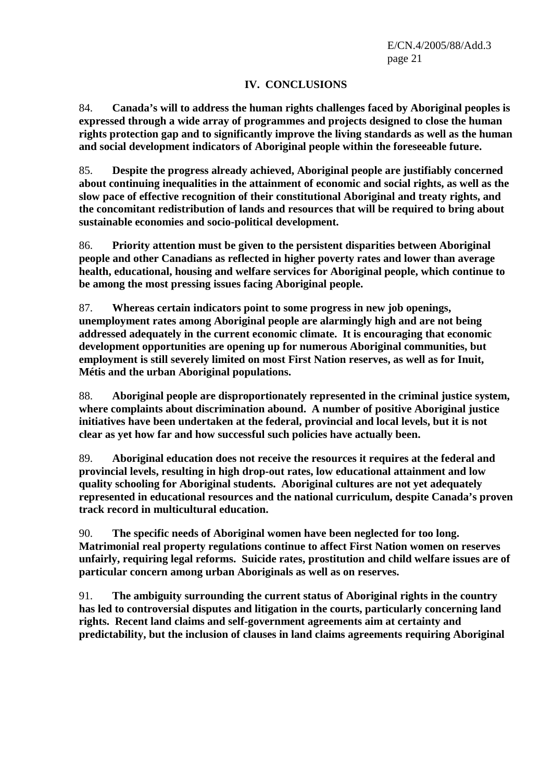# **IV. CONCLUSIONS**

84. **Canada's will to address the human rights challenges faced by Aboriginal peoples is expressed through a wide array of programmes and projects designed to close the human rights protection gap and to significantly improve the living standards as well as the human and social development indicators of Aboriginal people within the foreseeable future.**

85. **Despite the progress already achieved, Aboriginal people are justifiably concerned about continuing inequalities in the attainment of economic and social rights, as well as the slow pace of effective recognition of their constitutional Aboriginal and treaty rights, and the concomitant redistribution of lands and resources that will be required to bring about sustainable economies and socio-political development.**

86. **Priority attention must be given to the persistent disparities between Aboriginal people and other Canadians as reflected in higher poverty rates and lower than average health, educational, housing and welfare services for Aboriginal people, which continue to be among the most pressing issues facing Aboriginal people.**

87. **Whereas certain indicators point to some progress in new job openings, unemployment rates among Aboriginal people are alarmingly high and are not being addressed adequately in the current economic climate. It is encouraging that economic development opportunities are opening up for numerous Aboriginal communities, but employment is still severely limited on most First Nation reserves, as well as for Inuit, Métis and the urban Aboriginal populations.**

88. **Aboriginal people are disproportionately represented in the criminal justice system, where complaints about discrimination abound. A number of positive Aboriginal justice initiatives have been undertaken at the federal, provincial and local levels, but it is not clear as yet how far and how successful such policies have actually been.**

89. **Aboriginal education does not receive the resources it requires at the federal and provincial levels, resulting in high drop-out rates, low educational attainment and low quality schooling for Aboriginal students. Aboriginal cultures are not yet adequately represented in educational resources and the national curriculum, despite Canada's proven track record in multicultural education.**

90. **The specific needs of Aboriginal women have been neglected for too long. Matrimonial real property regulations continue to affect First Nation women on reserves unfairly, requiring legal reforms. Suicide rates, prostitution and child welfare issues are of particular concern among urban Aboriginals as well as on reserves.**

91. **The ambiguity surrounding the current status of Aboriginal rights in the country has led to controversial disputes and litigation in the courts, particularly concerning land rights. Recent land claims and self-government agreements aim at certainty and predictability, but the inclusion of clauses in land claims agreements requiring Aboriginal**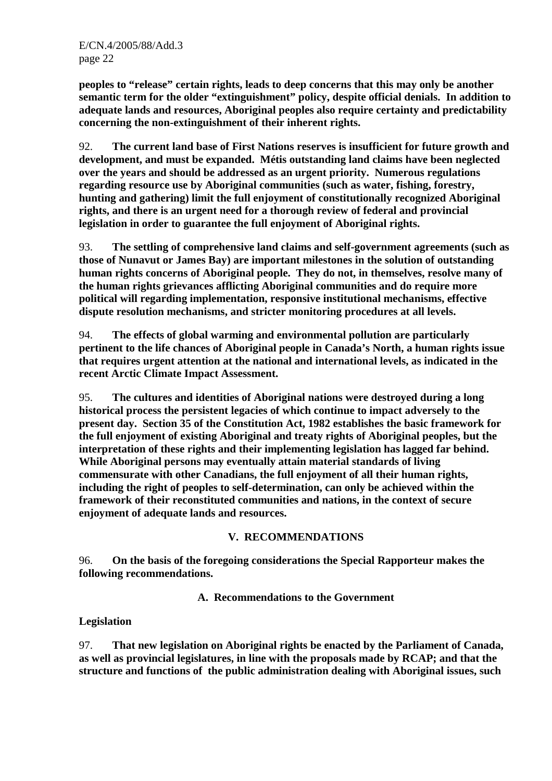**peoples to "release" certain rights, leads to deep concerns that this may only be another semantic term for the older "extinguishment" policy, despite official denials. In addition to adequate lands and resources, Aboriginal peoples also require certainty and predictability concerning the non-extinguishment of their inherent rights.** 

92. **The current land base of First Nations reserves is insufficient for future growth and development, and must be expanded. Métis outstanding land claims have been neglected over the years and should be addressed as an urgent priority. Numerous regulations regarding resource use by Aboriginal communities (such as water, fishing, forestry, hunting and gathering) limit the full enjoyment of constitutionally recognized Aboriginal rights, and there is an urgent need for a thorough review of federal and provincial legislation in order to guarantee the full enjoyment of Aboriginal rights.**

93. **The settling of comprehensive land claims and self-government agreements (such as those of Nunavut or James Bay) are important milestones in the solution of outstanding human rights concerns of Aboriginal people. They do not, in themselves, resolve many of the human rights grievances afflicting Aboriginal communities and do require more political will regarding implementation, responsive institutional mechanisms, effective dispute resolution mechanisms, and stricter monitoring procedures at all levels.**

94. **The effects of global warming and environmental pollution are particularly pertinent to the life chances of Aboriginal people in Canada's North, a human rights issue that requires urgent attention at the national and international levels, as indicated in the recent Arctic Climate Impact Assessment.**

95. **The cultures and identities of Aboriginal nations were destroyed during a long historical process the persistent legacies of which continue to impact adversely to the present day. Section 35 of the Constitution Act, 1982 establishes the basic framework for the full enjoyment of existing Aboriginal and treaty rights of Aboriginal peoples, but the interpretation of these rights and their implementing legislation has lagged far behind. While Aboriginal persons may eventually attain material standards of living commensurate with other Canadians, the full enjoyment of all their human rights, including the right of peoples to self-determination, can only be achieved within the framework of their reconstituted communities and nations, in the context of secure enjoyment of adequate lands and resources.** 

#### **V. RECOMMENDATIONS**

96. **On the basis of the foregoing considerations the Special Rapporteur makes the following recommendations.**

**A. Recommendations to the Government** 

# **Legislation**

97. **That new legislation on Aboriginal rights be enacted by the Parliament of Canada, as well as provincial legislatures, in line with the proposals made by RCAP; and that the structure and functions of the public administration dealing with Aboriginal issues, such**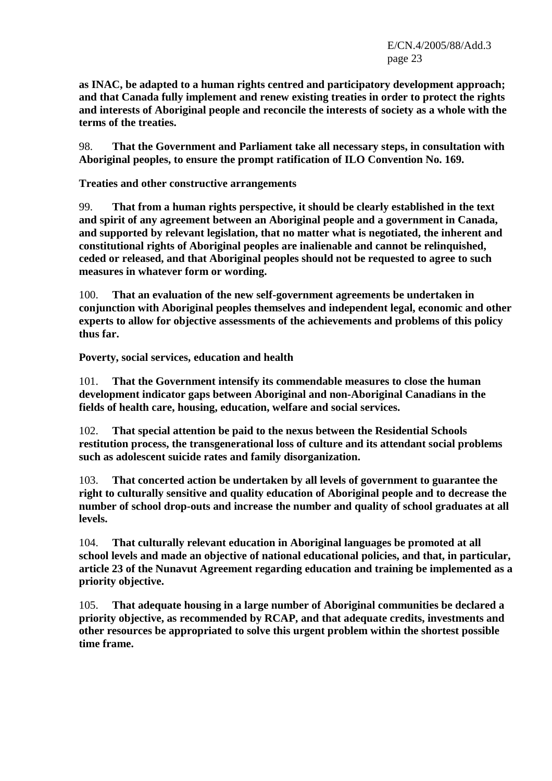E/CN.4/2005/88/Add.3 page 23

**as INAC, be adapted to a human rights centred and participatory development approach; and that Canada fully implement and renew existing treaties in order to protect the rights and interests of Aboriginal people and reconcile the interests of society as a whole with the terms of the treaties.**

98. **That the Government and Parliament take all necessary steps, in consultation with Aboriginal peoples, to ensure the prompt ratification of ILO Convention No. 169.** 

**Treaties and other constructive arrangements** 

99. **That from a human rights perspective, it should be clearly established in the text and spirit of any agreement between an Aboriginal people and a government in Canada, and supported by relevant legislation, that no matter what is negotiated, the inherent and constitutional rights of Aboriginal peoples are inalienable and cannot be relinquished, ceded or released, and that Aboriginal peoples should not be requested to agree to such measures in whatever form or wording.** 

100. **That an evaluation of the new self-government agreements be undertaken in conjunction with Aboriginal peoples themselves and independent legal, economic and other experts to allow for objective assessments of the achievements and problems of this policy thus far.**

**Poverty, social services, education and health** 

101. **That the Government intensify its commendable measures to close the human development indicator gaps between Aboriginal and non-Aboriginal Canadians in the fields of health care, housing, education, welfare and social services.**

102. **That special attention be paid to the nexus between the Residential Schools restitution process, the transgenerational loss of culture and its attendant social problems such as adolescent suicide rates and family disorganization.**

103. **That concerted action be undertaken by all levels of government to guarantee the right to culturally sensitive and quality education of Aboriginal people and to decrease the number of school drop-outs and increase the number and quality of school graduates at all levels.**

104. **That culturally relevant education in Aboriginal languages be promoted at all school levels and made an objective of national educational policies, and that, in particular, article 23 of the Nunavut Agreement regarding education and training be implemented as a priority objective.**

105. **That adequate housing in a large number of Aboriginal communities be declared a priority objective, as recommended by RCAP, and that adequate credits, investments and other resources be appropriated to solve this urgent problem within the shortest possible time frame.**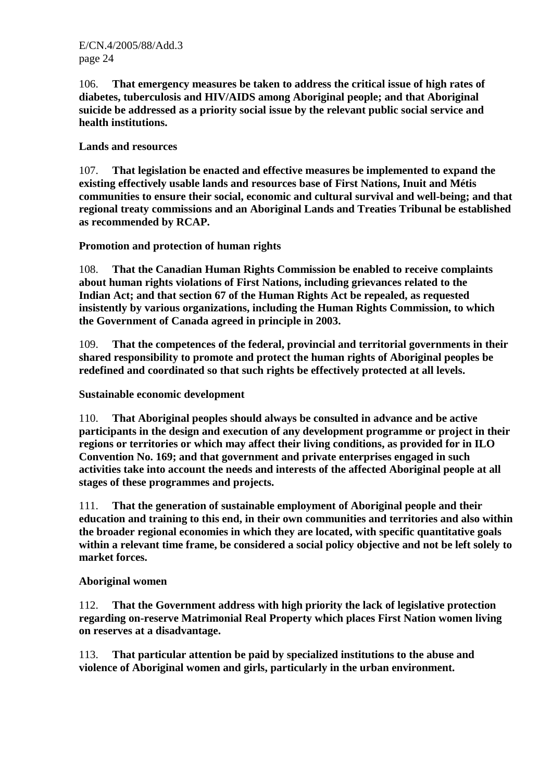106. **That emergency measures be taken to address the critical issue of high rates of diabetes, tuberculosis and HIV/AIDS among Aboriginal people; and that Aboriginal suicide be addressed as a priority social issue by the relevant public social service and health institutions.**

# **Lands and resources**

107. **That legislation be enacted and effective measures be implemented to expand the existing effectively usable lands and resources base of First Nations, Inuit and Métis communities to ensure their social, economic and cultural survival and well-being; and that regional treaty commissions and an Aboriginal Lands and Treaties Tribunal be established as recommended by RCAP.**

**Promotion and protection of human rights** 

108. **That the Canadian Human Rights Commission be enabled to receive complaints about human rights violations of First Nations, including grievances related to the Indian Act; and that section 67 of the Human Rights Act be repealed, as requested insistently by various organizations, including the Human Rights Commission, to which the Government of Canada agreed in principle in 2003.**

109. **That the competences of the federal, provincial and territorial governments in their shared responsibility to promote and protect the human rights of Aboriginal peoples be redefined and coordinated so that such rights be effectively protected at all levels.**

**Sustainable economic development** 

110. **That Aboriginal peoples should always be consulted in advance and be active participants in the design and execution of any development programme or project in their regions or territories or which may affect their living conditions, as provided for in ILO Convention No. 169; and that government and private enterprises engaged in such activities take into account the needs and interests of the affected Aboriginal people at all stages of these programmes and projects.**

111. **That the generation of sustainable employment of Aboriginal people and their education and training to this end, in their own communities and territories and also within the broader regional economies in which they are located, with specific quantitative goals within a relevant time frame, be considered a social policy objective and not be left solely to market forces.**

#### **Aboriginal women**

112. **That the Government address with high priority the lack of legislative protection regarding on-reserve Matrimonial Real Property which places First Nation women living on reserves at a disadvantage.**

113. **That particular attention be paid by specialized institutions to the abuse and violence of Aboriginal women and girls, particularly in the urban environment.**